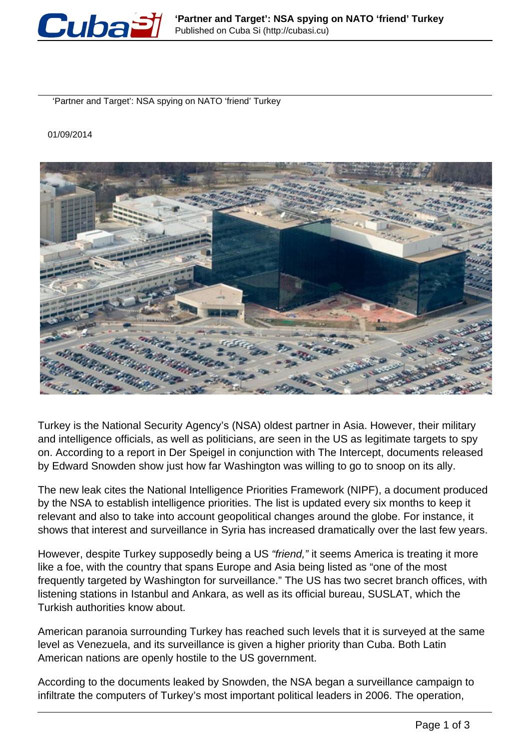

'Partner and Target': NSA spying on NATO 'friend' Turkey

01/09/2014



Turkey is the National Security Agency's (NSA) oldest partner in Asia. However, their military and intelligence officials, as well as politicians, are seen in the US as legitimate targets to spy on. According to a report in Der Speigel in conjunction with The Intercept, documents released by Edward Snowden show just how far Washington was willing to go to snoop on its ally.

The new leak cites the National Intelligence Priorities Framework (NIPF), a document produced by the NSA to establish intelligence priorities. The list is updated every six months to keep it relevant and also to take into account geopolitical changes around the globe. For instance, it shows that interest and surveillance in Syria has increased dramatically over the last few years.

However, despite Turkey supposedly being a US "friend," it seems America is treating it more like a foe, with the country that spans Europe and Asia being listed as "one of the most frequently targeted by Washington for surveillance." The US has two secret branch offices, with listening stations in Istanbul and Ankara, as well as its official bureau, SUSLAT, which the Turkish authorities know about.

American paranoia surrounding Turkey has reached such levels that it is surveyed at the same level as Venezuela, and its surveillance is given a higher priority than Cuba. Both Latin American nations are openly hostile to the US government.

According to the documents leaked by Snowden, the NSA began a surveillance campaign to infiltrate the computers of Turkey's most important political leaders in 2006. The operation,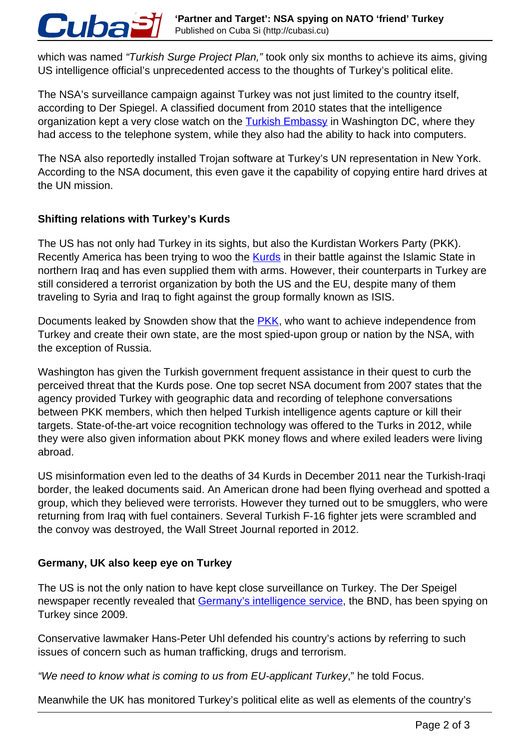which was named "Turkish Surge Project Plan," took only six months to achieve its aims, giving US intelligence official's unprecedented access to the thoughts of Turkey's political elite.

The NSA's surveillance campaign against Turkey was not just limited to the country itself, according to Der Spiegel. A classified document from 2010 states that the intelligence organization kept a very close watch on the **Turkish Embassy** in Washington DC, where they had access to the telephone system, while they also had the ability to hack into computers.

The NSA also reportedly installed Trojan software at Turkey's UN representation in New York. According to the NSA document, this even gave it the capability of copying entire hard drives at the UN mission.

## **Shifting relations with Turkey's Kurds**

Cuba

The US has not only had Turkey in its sights, but also the Kurdistan Workers Party (PKK). Recently America has been trying to woo the **Kurds** in their battle against the Islamic State in northern Iraq and has even supplied them with arms. However, their counterparts in Turkey are still considered a terrorist organization by both the US and the EU, despite many of them traveling to Syria and Iraq to fight against the group formally known as ISIS.

Documents leaked by Snowden show that the **PKK**, who want to achieve independence from Turkey and create their own state, are the most spied-upon group or nation by the NSA, with the exception of Russia.

Washington has given the Turkish government frequent assistance in their quest to curb the perceived threat that the Kurds pose. One top secret NSA document from 2007 states that the agency provided Turkey with geographic data and recording of telephone conversations between PKK members, which then helped Turkish intelligence agents capture or kill their targets. State-of-the-art voice recognition technology was offered to the Turks in 2012, while they were also given information about PKK money flows and where exiled leaders were living abroad.

US misinformation even led to the deaths of 34 Kurds in December 2011 near the Turkish-Iraqi border, the leaked documents said. An American drone had been flying overhead and spotted a group, which they believed were terrorists. However they turned out to be smugglers, who were returning from Iraq with fuel containers. Several Turkish F-16 fighter jets were scrambled and the convoy was destroyed, the Wall Street Journal reported in 2012.

## **Germany, UK also keep eye on Turkey**

The US is not the only nation to have kept close surveillance on Turkey. The Der Speigel newspaper recently revealed that Germany's intelligence service, the BND, has been spying on Turkey since 2009.

Conservative lawmaker Hans-Peter Uhl defended his country's actions by referring to such issues of concern such as human trafficking, drugs and terrorism.

"We need to know what is coming to us from EU-applicant Turkey," he told Focus.

Meanwhile the UK has monitored Turkey's political elite as well as elements of the country's